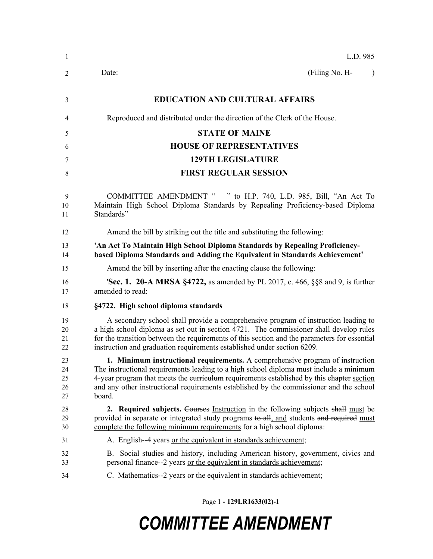| 1                          | L.D. 985                                                                                                                                                                                                                                                                                                                                                                  |
|----------------------------|---------------------------------------------------------------------------------------------------------------------------------------------------------------------------------------------------------------------------------------------------------------------------------------------------------------------------------------------------------------------------|
| 2                          | (Filing No. H-<br>Date:                                                                                                                                                                                                                                                                                                                                                   |
| 3                          | <b>EDUCATION AND CULTURAL AFFAIRS</b>                                                                                                                                                                                                                                                                                                                                     |
| 4                          | Reproduced and distributed under the direction of the Clerk of the House.                                                                                                                                                                                                                                                                                                 |
| 5                          | <b>STATE OF MAINE</b>                                                                                                                                                                                                                                                                                                                                                     |
| 6                          | <b>HOUSE OF REPRESENTATIVES</b>                                                                                                                                                                                                                                                                                                                                           |
| 7                          | <b>129TH LEGISLATURE</b>                                                                                                                                                                                                                                                                                                                                                  |
| 8                          | <b>FIRST REGULAR SESSION</b>                                                                                                                                                                                                                                                                                                                                              |
| 9<br>10<br>11              | COMMITTEE AMENDMENT " " to H.P. 740, L.D. 985, Bill, "An Act To<br>Maintain High School Diploma Standards by Repealing Proficiency-based Diploma<br>Standards"                                                                                                                                                                                                            |
| 12                         | Amend the bill by striking out the title and substituting the following:                                                                                                                                                                                                                                                                                                  |
| 13<br>14                   | 'An Act To Maintain High School Diploma Standards by Repealing Proficiency-<br>based Diploma Standards and Adding the Equivalent in Standards Achievement'                                                                                                                                                                                                                |
| 15                         | Amend the bill by inserting after the enacting clause the following:                                                                                                                                                                                                                                                                                                      |
| 16<br>17                   | <b>Sec. 1. 20-A MRSA §4722,</b> as amended by PL 2017, c. 466, §§8 and 9, is further<br>amended to read:                                                                                                                                                                                                                                                                  |
| 18                         | §4722. High school diploma standards                                                                                                                                                                                                                                                                                                                                      |
| 19<br>20<br>21<br>22       | A secondary school shall provide a comprehensive program of instruction leading to<br>a high school diploma as set out in section 4721. The commissioner shall develop rules<br>for the transition between the requirements of this section and the parameters for essential<br>instruction and graduation requirements established under section 6209.                   |
| 23<br>24<br>25<br>26<br>27 | 1. Minimum instructional requirements. A comprehensive program of instruction<br>The instructional requirements leading to a high school diploma must include a minimum<br>4-year program that meets the eurrieulum requirements established by this ehapter section<br>and any other instructional requirements established by the commissioner and the school<br>board. |
| 28<br>29<br>30             | 2. Required subjects. Courses Instruction in the following subjects shall must be<br>provided in separate or integrated study programs to all, and students and required must<br>complete the following minimum requirements for a high school diploma:                                                                                                                   |
| 31                         | A. English--4 years or the equivalent in standards achievement;                                                                                                                                                                                                                                                                                                           |
| 32<br>33                   | B. Social studies and history, including American history, government, civics and<br>personal finance--2 years or the equivalent in standards achievement;                                                                                                                                                                                                                |
| 34                         | C. Mathematics--2 years or the equivalent in standards achievement;                                                                                                                                                                                                                                                                                                       |

Page 1 **- 129LR1633(02)-1**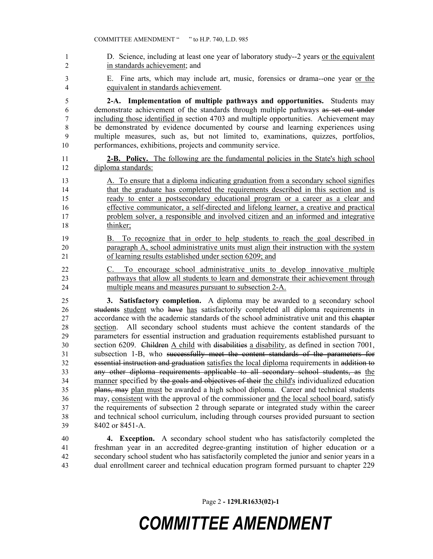1 D. Science, including at least one year of laboratory study--2 years <u>or the equivalent</u> in standards achievement; and E. Fine arts, which may include art, music, forensics or drama--one year or the equivalent in standards achievement. **2-A. Implementation of multiple pathways and opportunities.** Students may demonstrate achievement of the standards through multiple pathways as set out under including those identified in section 4703 and multiple opportunities. Achievement may be demonstrated by evidence documented by course and learning experiences using multiple measures, such as, but not limited to, examinations, quizzes, portfolios, performances, exhibitions, projects and community service. **2-B. Policy.** The following are the fundamental policies in the State's high school diploma standards: A. To ensure that a diploma indicating graduation from a secondary school signifies that the graduate has completed the requirements described in this section and is ready to enter a postsecondary educational program or a career as a clear and effective communicator, a self-directed and lifelong learner, a creative and practical problem solver, a responsible and involved citizen and an informed and integrative thinker; B. To recognize that in order to help students to reach the goal described in paragraph A, school administrative units must align their instruction with the system of learning results established under section 6209; and C. To encourage school administrative units to develop innovative multiple pathways that allow all students to learn and demonstrate their achievement through multiple means and measures pursuant to subsection 2-A. **3. Satisfactory completion.** A diploma may be awarded to a secondary school students student who have has satisfactorily completed all diploma requirements in accordance with the academic standards of the school administrative unit and this chapter section. All secondary school students must achieve the content standards of the parameters for essential instruction and graduation requirements established pursuant to 30 section 6209. Children A child with disabilities a disability, as defined in section 7001, subsection 1-B, who successfully meet the content standards of the parameters for essential instruction and graduation satisfies the local diploma requirements in addition to any other diploma requirements applicable to all secondary school students, as the 34 manner specified by the goals and objectives of their the child's individualized education plans, may plan must be awarded a high school diploma. Career and technical students may, consistent with the approval of the commissioner and the local school board, satisfy the requirements of subsection 2 through separate or integrated study within the career and technical school curriculum, including through courses provided pursuant to section 8402 or 8451-A. **4. Exception.** A secondary school student who has satisfactorily completed the freshman year in an accredited degree-granting institution of higher education or a secondary school student who has satisfactorily completed the junior and senior years in a dual enrollment career and technical education program formed pursuant to chapter 229

Page 2 **- 129LR1633(02)-1**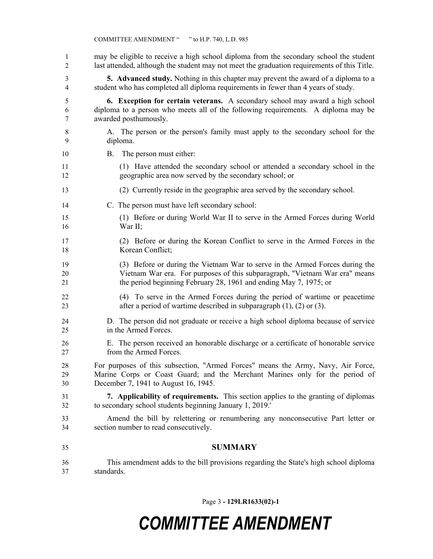may be eligible to receive a high school diploma from the secondary school the student last attended, although the student may not meet the graduation requirements of this Title. **5. Advanced study.** Nothing in this chapter may prevent the award of a diploma to a student who has completed all diploma requirements in fewer than 4 years of study. **6. Exception for certain veterans.** A secondary school may award a high school diploma to a person who meets all of the following requirements. A diploma may be awarded posthumously. A. The person or the person's family must apply to the secondary school for the diploma. B. The person must either: (1) Have attended the secondary school or attended a secondary school in the geographic area now served by the secondary school; or (2) Currently reside in the geographic area served by the secondary school. C. The person must have left secondary school: (1) Before or during World War II to serve in the Armed Forces during World War II; (2) Before or during the Korean Conflict to serve in the Armed Forces in the Korean Conflict; (3) Before or during the Vietnam War to serve in the Armed Forces during the Vietnam War era. For purposes of this subparagraph, "Vietnam War era" means the period beginning February 28, 1961 and ending May 7, 1975; or (4) To serve in the Armed Forces during the period of wartime or peacetime after a period of wartime described in subparagraph (1), (2) or (3). D. The person did not graduate or receive a high school diploma because of service in the Armed Forces. E. The person received an honorable discharge or a certificate of honorable service from the Armed Forces. For purposes of this subsection, "Armed Forces" means the Army, Navy, Air Force, Marine Corps or Coast Guard; and the Merchant Marines only for the period of December 7, 1941 to August 16, 1945. **7. Applicability of requirements.** This section applies to the granting of diplomas to secondary school students beginning January 1, 2019.' Amend the bill by relettering or renumbering any nonconsecutive Part letter or section number to read consecutively. **SUMMARY** This amendment adds to the bill provisions regarding the State's high school diploma standards.

Page 3 **- 129LR1633(02)-1**